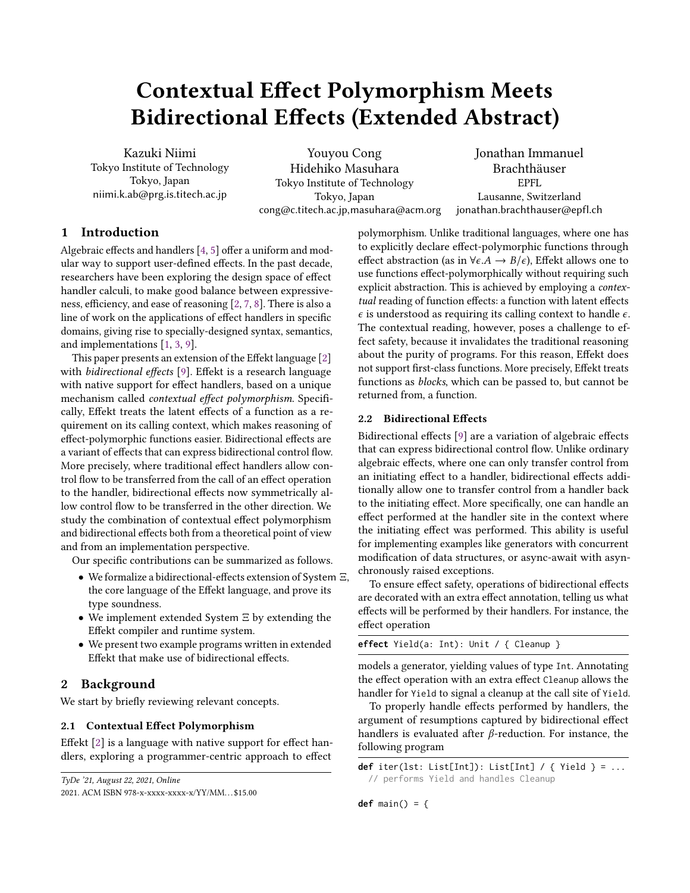# Contextual Effect Polymorphism Meets Bidirectional Effects (Extended Abstract)

Kazuki Niimi Tokyo Institute of Technology Tokyo, Japan niimi.k.ab@prg.is.titech.ac.jp

Youyou Cong Hidehiko Masuhara Tokyo Institute of Technology Tokyo, Japan cong@c.titech.ac.jp,masuhara@acm.org

Jonathan Immanuel Brachthäuser EPFL Lausanne, Switzerland jonathan.brachthauser@epfl.ch

# 1 Introduction

Algebraic effects and handlers [\[4,](#page-3-0) [5\]](#page-3-1) offer a uniform and modular way to support user-defined effects. In the past decade, researchers have been exploring the design space of effect handler calculi, to make good balance between expressiveness, efficiency, and ease of reasoning [\[2,](#page-3-2) [7,](#page-3-3) [8\]](#page-3-4). There is also a line of work on the applications of effect handlers in specific domains, giving rise to specially-designed syntax, semantics, and implementations [\[1,](#page-3-5) [3,](#page-3-6) [9\]](#page-3-7).

This paper presents an extension of the Effekt language [\[2\]](#page-3-2) with bidirectional effects [\[9\]](#page-3-7). Effekt is a research language with native support for effect handlers, based on a unique mechanism called contextual effect polymorphism. Specifically, Effekt treats the latent effects of a function as a requirement on its calling context, which makes reasoning of effect-polymorphic functions easier. Bidirectional effects are a variant of effects that can express bidirectional control flow. More precisely, where traditional effect handlers allow control flow to be transferred from the call of an effect operation to the handler, bidirectional effects now symmetrically allow control flow to be transferred in the other direction. We study the combination of contextual effect polymorphism and bidirectional effects both from a theoretical point of view and from an implementation perspective.

Our specific contributions can be summarized as follows.

- We formalize a bidirectional-effects extension of System Ξ, the core language of the Effekt language, and prove its type soundness.
- We implement extended System Ξ by extending the Effekt compiler and runtime system.
- We present two example programs written in extended Effekt that make use of bidirectional effects.

# 2 Background

We start by briefly reviewing relevant concepts.

## 2.1 Contextual Effect Polymorphism

Effekt [\[2\]](#page-3-2) is a language with native support for effect handlers, exploring a programmer-centric approach to effect

TyDe '21, August 22, 2021, Online

polymorphism. Unlike traditional languages, where one has to explicitly declare effect-polymorphic functions through effect abstraction (as in  $\forall \epsilon.A \rightarrow B/\epsilon$ ), Effekt allows one to use functions effect-polymorphically without requiring such explicit abstraction. This is achieved by employing a contextual reading of function effects: a function with latent effects  $\epsilon$  is understood as requiring its calling context to handle  $\epsilon$ . The contextual reading, however, poses a challenge to effect safety, because it invalidates the traditional reasoning about the purity of programs. For this reason, Effekt does not support first-class functions. More precisely, Effekt treats functions as blocks, which can be passed to, but cannot be returned from, a function.

## 2.2 Bidirectional Effects

Bidirectional effects [\[9\]](#page-3-7) are a variation of algebraic effects that can express bidirectional control flow. Unlike ordinary algebraic effects, where one can only transfer control from an initiating effect to a handler, bidirectional effects additionally allow one to transfer control from a handler back to the initiating effect. More specifically, one can handle an effect performed at the handler site in the context where the initiating effect was performed. This ability is useful for implementing examples like generators with concurrent modification of data structures, or async-await with asynchronously raised exceptions.

To ensure effect safety, operations of bidirectional effects are decorated with an extra effect annotation, telling us what effects will be performed by their handlers. For instance, the effect operation

**effect** Yield(a: Int): Unit / { Cleanup }

models a generator, yielding values of type Int. Annotating the effect operation with an extra effect Cleanup allows the handler for Yield to signal a cleanup at the call site of Yield.

To properly handle effects performed by handlers, the argument of resumptions captured by bidirectional effect handlers is evaluated after  $\beta$ -reduction. For instance, the following program

```
def iter(lst: List[Int]): List[Int] / { Yield } = ...
  // performs Yield and handles Cleanup
```
**def** main() = {

<sup>2021.</sup> ACM ISBN 978-x-xxxx-xxxx-x/YY/MM. . . \$15.00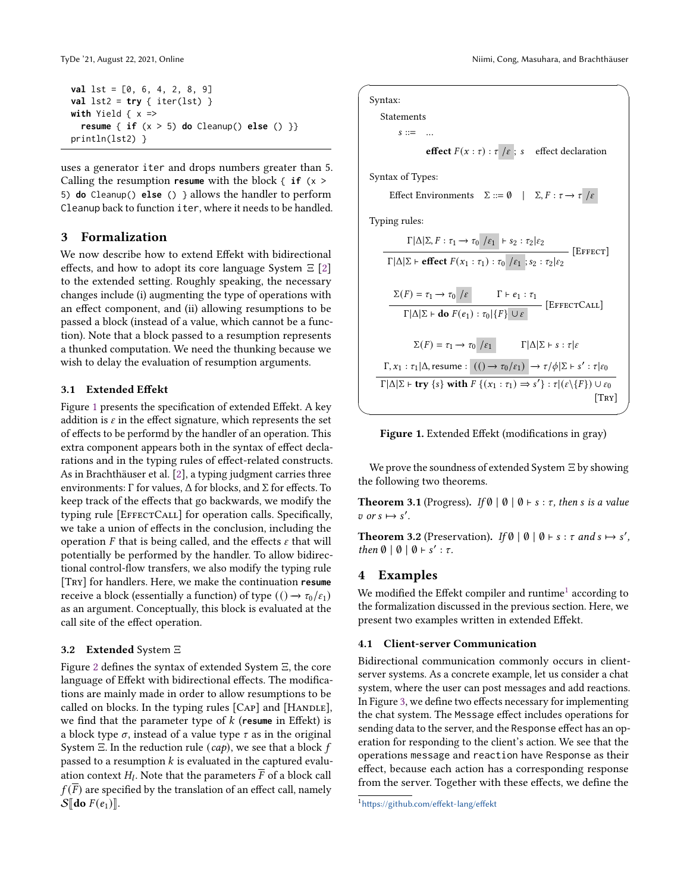```
val lst = [0, 6, 4, 2, 8, 9]
val lst2 = try { iter(lst) }with Yield \{ x =resume { if (x > 5) do Cleanup() else () }}
println(lst2) }
```
uses a generator iter and drops numbers greater than 5. Calling the resumption **resume** with the block { **if** (x > 5) **do** Cleanup() **else** () } allows the handler to perform Cleanup back to function iter, where it needs to be handled.

### <span id="page-1-2"></span>3 Formalization

We now describe how to extend Effekt with bidirectional effects, and how to adopt its core language System  $\Xi$  [\[2\]](#page-3-2) to the extended setting. Roughly speaking, the necessary changes include (i) augmenting the type of operations with an effect component, and (ii) allowing resumptions to be passed a block (instead of a value, which cannot be a function). Note that a block passed to a resumption represents a thunked computation. We need the thunking because we wish to delay the evaluation of resumption arguments.

#### 3.1 Extended Effekt

Figure [1](#page-1-0) presents the specification of extended Effekt. A key addition is  $\varepsilon$  in the effect signature, which represents the set of effects to be performd by the handler of an operation. This extra component appears both in the syntax of effect declarations and in the typing rules of effect-related constructs. As in Brachthäuser et al. [\[2\]](#page-3-2), a typing judgment carries three environments:  $\Gamma$  for values,  $\Delta$  for blocks, and  $\Sigma$  for effects. To keep track of the effects that go backwards, we modify the typing rule [EFFECTCALL] for operation calls. Specifically, we take a union of effects in the conclusion, including the operation  $F$  that is being called, and the effects  $\varepsilon$  that will potentially be performed by the handler. To allow bidirectional control-flow transfers, we also modify the typing rule [Try] for handlers. Here, we make the continuation **resume** receive a block (essentially a function) of type  $(() \rightarrow \tau_0/\epsilon_1)$ as an argument. Conceptually, this block is evaluated at the call site of the effect operation.

#### 3.2 Extended System Ξ

Figure [2](#page-2-0) defines the syntax of extended System Ξ, the core language of Effekt with bidirectional effects. The modifications are mainly made in order to allow resumptions to be called on blocks. In the typing rules [CAP] and [HANDLE], we find that the parameter type of  $k$  (resume in Effekt) is a block type  $\sigma$ , instead of a value type  $\tau$  as in the original System  $\Xi$ . In the reduction rule (cap), we see that a block f passed to a resumption  $k$  is evaluated in the captured evaluation context  $H_l.$  Note that the parameters  $\overline{F}$  of a block call  $f(\overline{F})$  are specified by the translation of an effect call, namely  $S[\phi]$ do  $F(e_1)$ ].

<span id="page-1-0"></span> $\sqrt{2\pi i}$ Syntax: Statements  $s ::=$  ... effect  $F(x : \tau) : \tau / \varepsilon$ ; s effect declaration Syntax of Types:  $\text{Effect Enviromments} \quad \Sigma ::= \emptyset \quad | \quad \Sigma, F: \tau \rightarrow \tau \text{ /} \varepsilon$ Typing rules:  $\Gamma|\Delta|\Sigma, F: \tau_1 \to \tau_0$  / $\varepsilon_1$  |  $\vdash s_2 : \tau_2 | \varepsilon_2$  $\Gamma|\Delta|\Sigma \vdash \mathbf{effect}\ F(x_1:\tau_1):\tau_0 \not\vert \varepsilon_1 \; ; s_2 : \tau_2 \vert \varepsilon_2$  [Effect]  $\Sigma(F) = \tau_1 \rightarrow \tau_0 / \varepsilon \qquad \Gamma \vdash e_1 : \tau_1$  $\Gamma |\Delta |\Sigma \vdash \textbf{do } F(e_1) : \tau_0 |\{F\} \cup \varepsilon$  [EffectCall]  $\Sigma(F) = \tau_1 \rightarrow \tau_0 / \varepsilon_1$  Γ|Δ|Σ + s : τ|ε  $Γ, x_1 : τ_1 | Δ, \text{resume} : (() \rightarrow τ_0 / ε_1) \rightarrow τ / φ |Σ ⊢ s' : τ | ε_0$  $\Gamma \vert \Delta \vert \Sigma$   $\vdash$  try  $\{s\}$  with  $F \{(x_1 : \tau_1) \Rightarrow s' \} : \tau \vert ( \varepsilon \setminus \{F\}) \cup \varepsilon_0$  $[TRY]$  $\qquad \qquad \qquad$ 



We prove the soundness of extended System Ξ by showing the following two theorems.

**Theorem 3.1** (Progress). If  $\emptyset \mid \emptyset \mid \emptyset \vdash s : \tau$ , then s is a value v or  $s \mapsto s'$ .

**Theorem 3.2** (Preservation). If  $\emptyset \mid \emptyset \mid \emptyset \vdash s : \tau \text{ and } s \mapsto s'$ , then  $\emptyset$  |  $\emptyset$  |  $\emptyset$  + s' :  $\tau$ .

## 4 Examples

We modified the Effekt compiler and runtime $^1$  $^1$  according to the formalization discussed in the previous section. Here, we present two examples written in extended Effekt.

#### 4.1 Client-server Communication

Bidirectional communication commonly occurs in clientserver systems. As a concrete example, let us consider a chat system, where the user can post messages and add reactions. In Figure [3,](#page-2-1) we define two effects necessary for implementing the chat system. The Message effect includes operations for sending data to the server, and the Response effect has an operation for responding to the client's action. We see that the operations message and reaction have Response as their effect, because each action has a corresponding response from the server. Together with these effects, we define the

<span id="page-1-1"></span><sup>1</sup><https://github.com/effekt-lang/effekt>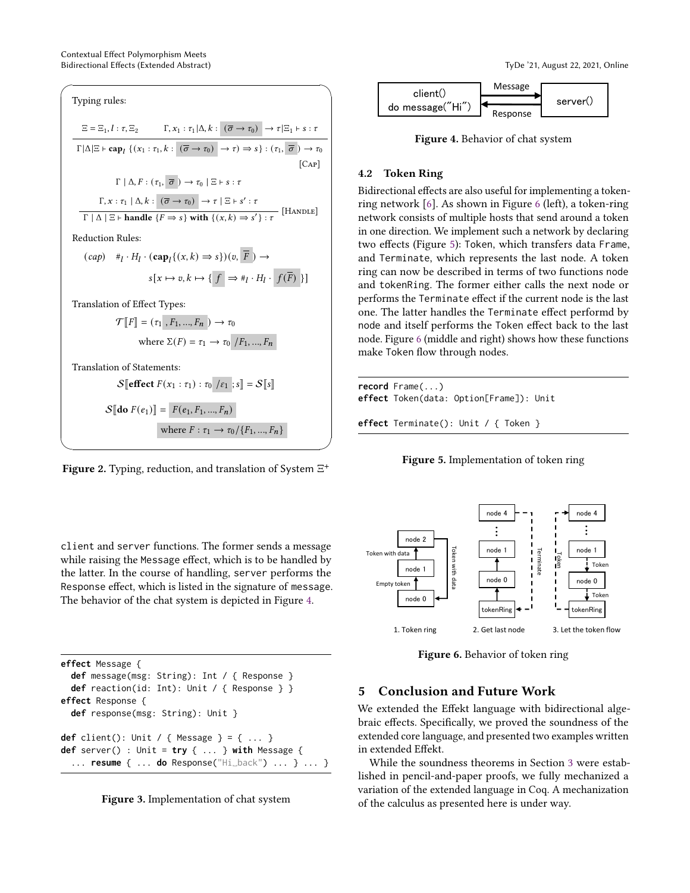<span id="page-2-0"></span>

$$
S[[\text{do } F(e_1)]] = F(e_1, F_1, ..., F_n)
$$
  
where  $F : \tau_1 \rightarrow \tau_0 / \{F_1, ..., F_n\}$ 



✒ ✑

<span id="page-2-2"></span>

Figure 4. Behavior of chat system

## 4.2 Token Ring

Bidirectional effects are also useful for implementing a tokenring network [\[6\]](#page-3-8). As shown in Figure [6](#page-2-3) (left), a token-ring network consists of multiple hosts that send around a token in one direction. We implement such a network by declaring two effects (Figure [5\)](#page-2-4): Token, which transfers data Frame, and Terminate, which represents the last node. A token ring can now be described in terms of two functions node and tokenRing. The former either calls the next node or performs the Terminate effect if the current node is the last one. The latter handles the Terminate effect performd by node and itself performs the Token effect back to the last node. Figure [6](#page-2-3) (middle and right) shows how these functions make Token flow through nodes.

<span id="page-2-4"></span>**record** Frame(...) **effect** Token(data: Option[Frame]): Unit

**effect** Terminate(): Unit / { Token }



<span id="page-2-3"></span>

Figure 6. Behavior of token ring

# 5 Conclusion and Future Work

We extended the Effekt language with bidirectional algebraic effects. Specifically, we proved the soundness of the extended core language, and presented two examples written in extended Effekt.

While the soundness theorems in Section [3](#page-1-2) were established in pencil-and-paper proofs, we fully mechanized a variation of the extended language in Coq. A mechanization of the calculus as presented here is under way.

client and server functions. The former sends a message while raising the Message effect, which is to be handled by the latter. In the course of handling, server performs the Response effect, which is listed in the signature of message. The behavior of the chat system is depicted in Figure [4.](#page-2-2)

```
effect Message {
  def message(msg: String): Int / { Response }
  def reaction(id: Int): Unit / { Response } }
effect Response {
  def response(msg: String): Unit }
def client(): Unit / { Message } = { ... }
def server() : Unit = try { ... } with Message {
  ... resume { ... do Response("Hi␣back") ... } ... }
```